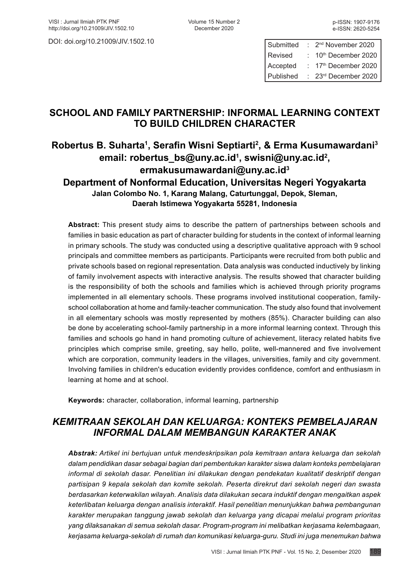DOI: doi.org/10.21009/JIV.1502.10

| Submitted | 2 <sup>nd</sup> November 2020 |
|-----------|-------------------------------|
| Revised   | 10th December 2020            |
| Accepted  | 17th December 2020            |
| Published | 23rd December 2020            |

# **SCHOOL AND FAMILY PARTNERSHIP: INFORMAL LEARNING CONTEXT TO BUILD CHILDREN CHARACTER**

# **Robertus B. Suharta1 , Serafin Wisni Septiarti<sup>2</sup> , & Erma Kusumawardani<sup>3</sup> email: [robertus\\_bs@uny.ac.id](mailto:robertus_bs@uny.ac.id)<sup>1</sup> , [swisni@uny.ac.id](mailto:swisni@uny.ac.id)<sup>2</sup> , [ermakusumawardani@uny.ac.id](mailto:ermakusumawardani@uny.ac.id)<sup>3</sup> Department of Nonformal Education, Universitas Negeri Yogyakarta Jalan Colombo No. 1, Karang Malang, Caturtunggal, Depok, Sleman, Daerah Istimewa Yogyakarta 55281, Indonesia**

**Abstract:** This present study aims to describe the pattern of partnerships between schools and families in basic education as part of character building for students in the context of informal learning in primary schools. The study was conducted using a descriptive qualitative approach with 9 school principals and committee members as participants. Participants were recruited from both public and private schools based on regional representation. Data analysis was conducted inductively by linking of family involvement aspects with interactive analysis. The results showed that character building is the responsibility of both the schools and families which is achieved through priority programs implemented in all elementary schools. These programs involved institutional cooperation, familyschool collaboration at home and family-teacher communication. The study also found that involvement in all elementary schools was mostly represented by mothers (85%). Character building can also be done by accelerating school-family partnership in a more informal learning context. Through this families and schools go hand in hand promoting culture of achievement, literacy related habits five principles which comprise smile, greeting, say hello, polite, well-mannered and five involvement which are corporation, community leaders in the villages, universities, family and city government. Involving families in children's education evidently provides confidence, comfort and enthusiasm in learning at home and at school.

**Keywords:** character, collaboration, informal learning, partnership

# *KEMITRAAN SEKOLAH DAN KELUARGA: KONTEKS PEMBELAJARAN INFORMAL DALAM MEMBANGUN KARAKTER ANAK*

*Abstrak: Artikel ini bertujuan untuk mendeskripsikan pola kemitraan antara keluarga dan sekolah dalam pendidikan dasar sebagai bagian dari pembentukan karakter siswa dalam konteks pembelajaran informal di sekolah dasar. Penelitian ini dilakukan dengan pendekatan kualitatif deskriptif dengan partisipan 9 kepala sekolah dan komite sekolah. Peserta direkrut dari sekolah negeri dan swasta berdasarkan keterwakilan wilayah. Analisis data dilakukan secara induktif dengan mengaitkan aspek keterlibatan keluarga dengan analisis interaktif. Hasil penelitian menunjukkan bahwa pembangunan karakter merupakan tanggung jawab sekolah dan keluarga yang dicapai melalui program prioritas yang dilaksanakan di semua sekolah dasar. Program-program ini melibatkan kerjasama kelembagaan, kerjasama keluarga-sekolah di rumah dan komunikasi keluarga-guru. Studi ini juga menemukan bahwa*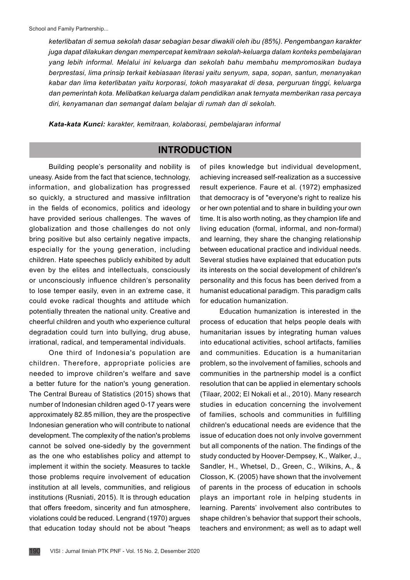*keterlibatan di semua sekolah dasar sebagian besar diwakili oleh ibu (85%). Pengembangan karakter juga dapat dilakukan dengan mempercepat kemitraan sekolah-keluarga dalam konteks pembelajaran yang lebih informal. Melalui ini keluarga dan sekolah bahu membahu mempromosikan budaya berprestasi, lima prinsip terkait kebiasaan literasi yaitu senyum, sapa, sopan, santun, menanyakan kabar dan lima keterlibatan yaitu korporasi, tokoh masyarakat di desa, perguruan tinggi, keluarga dan pemerintah kota. Melibatkan keluarga dalam pendidikan anak ternyata memberikan rasa percaya diri, kenyamanan dan semangat dalam belajar di rumah dan di sekolah.*

*Kata-kata Kunci: karakter, kemitraan, kolaborasi, pembelajaran informal*

## **INTRODUCTION**

Building people's personality and nobility is uneasy. Aside from the fact that science, technology, information, and globalization has progressed so quickly, a structured and massive infiltration in the fields of economics, politics and ideology have provided serious challenges. The waves of globalization and those challenges do not only bring positive but also certainly negative impacts, especially for the young generation, including children. Hate speeches publicly exhibited by adult even by the elites and intellectuals, consciously or unconsciously influence children's personality to lose temper easily, even in an extreme case, it could evoke radical thoughts and attitude which potentially threaten the national unity. Creative and cheerful children and youth who experience cultural degradation could turn into bullying, drug abuse, irrational, radical, and temperamental individuals.

One third of Indonesia's population are children. Therefore, appropriate policies are needed to improve children's welfare and save a better future for the nation's young generation. The Central Bureau of Statistics (2015) shows that number of Indonesian children aged 0-17 years were approximately 82.85 million, they are the prospective Indonesian generation who will contribute to national development. The complexity of the nation's problems cannot be solved one-sidedly by the government as the one who establishes policy and attempt to implement it within the society. Measures to tackle those problems require involvement of education institution at all levels, communities, and religious institutions (Rusniati, 2015). It is through education that offers freedom, sincerity and fun atmosphere, violations could be reduced. Lengrand (1970) argues that education today should not be about "heaps of piles knowledge but individual development, achieving increased self-realization as a successive result experience. Faure et al. (1972) emphasized that democracy is of "everyone's right to realize his or her own potential and to share in building your own time. It is also worth noting, as they champion life and living education (formal, informal, and non-formal) and learning, they share the changing relationship between educational practice and individual needs. Several studies have explained that education puts its interests on the social development of children's personality and this focus has been derived from a humanist educational paradigm. This paradigm calls for education humanization.

Education humanization is interested in the process of education that helps people deals with humanitarian issues by integrating human values into educational activities, school artifacts, families and communities. Education is a humanitarian problem, so the involvement of families, schools and communities in the partnership model is a conflict resolution that can be applied in elementary schools (Tilaar, 2002; El [Nokali e](https://www.ncbi.nlm.nih.gov/pubmed/?term=El Nokali NE%5BAuthor%5D&cauthor=true&cauthor_uid=20573118)t al., 2010). Many research studies in education concerning the involvement of families, schools and communities in fulfilling children's educational needs are evidence that the issue of education does not only involve government but all components of the nation. The findings of the study conducted by Hoover‐Dempsey, K., Walker, J., Sandler, H., Whetsel, D., Green, C., Wilkins, A., & Closson, K. (2005) have shown that the involvement of parents in the process of education in schools plays an important role in helping students in learning. Parents' involvement also contributes to shape children's behavior that support their schools, teachers and environment; as well as to adapt well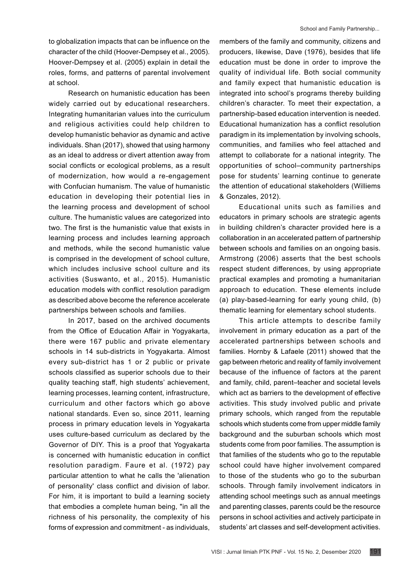to globalization impacts that can be influence on the character of the child (Hoover-Dempsey et al., 2005). Hoover-Dempsey et al. (2005) explain in detail the roles, forms, and patterns of parental involvement at school.

Research on humanistic education has been widely carried out by educational researchers. Integrating humanitarian values into the curriculum and religious activities could help children to develop humanistic behavior as dynamic and active individuals. Shan (2017), showed that using harmony as an ideal to address or divert attention away from social conflicts or ecological problems, as a result of modernization, how would a re-engagement with Confucian humanism. The value of humanistic education in developing their potential lies in the learning process and development of school culture. The humanistic values are categorized into two. The first is the humanistic value that exists in learning process and includes learning approach and methods, while the second humanistic value is comprised in the development of school culture, which includes inclusive school culture and its activities (Suswanto, et al., 2015). Humanistic education models with conflict resolution paradigm as described above become the reference accelerate partnerships between schools and families.

In 2017, based on the archived documents from the Office of Education Affair in Yogyakarta, there were 167 public and private elementary schools in 14 sub-districts in Yogyakarta. Almost every sub-district has 1 or 2 public or private schools classified as superior schools due to their quality teaching staff, high students' achievement, learning processes, learning content, infrastructure, curriculum and other factors which go above national standards. Even so, since 2011, learning process in primary education levels in Yogyakarta uses culture-based curriculum as declared by the Governor of DIY. This is a proof that Yogyakarta is concerned with humanistic education in conflict resolution paradigm. Faure et al. (1972) pay particular attention to what he calls the 'alienation of personality' class conflict and division of labor. For him, it is important to build a learning society that embodies a complete human being, "in all the richness of his personality, the complexity of his forms of expression and commitment - as individuals,

members of the family and community, citizens and producers, likewise, Dave (1976), besides that life education must be done in order to improve the quality of individual life. Both social community and family expect that humanistic education is integrated into school's programs thereby building children's character. To meet their expectation, a partnership-based education intervention is needed. Educational humanization has a conflict resolution paradigm in its implementation by involving schools, communities, and families who feel attached and attempt to collaborate for a national integrity. The opportunities of school–community partnerships pose for students' learning continue to generate the attention of educational stakeholders (Williems & Gonzales, 2012).

Educational units such as families and educators in primary schools are strategic agents in building children's character provided here is a collaboration in an accelerated pattern of partnership between schools and families on an ongoing basis. Armstrong (2006) asserts that the best schools respect student differences, by using appropriate practical examples and promoting a humanitarian approach to education. These elements include (a) play-based-learning for early young child, (b) thematic learning for elementary school students.

This article attempts to describe family involvement in primary education as a part of the accelerated partnerships between schools and families. Hornby & Lafaele (2011) showed that the gap between rhetoric and reality of family involvement because of the influence of factors at the parent and family, child, parent–teacher and societal levels which act as barriers to the development of effective activities. This study involved public and private primary schools, which ranged from the reputable schools which students come from upper middle family background and the suburban schools which most students come from poor families. The assumption is that families of the students who go to the reputable school could have higher involvement compared to those of the students who go to the suburban schools. Through family involvement indicators in attending school meetings such as annual meetings and parenting classes, parents could be the resource persons in school activities and actively participate in students' art classes and self-development activities.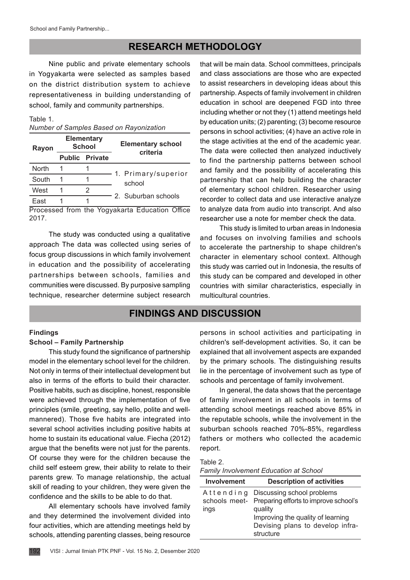## **RESEARCH METHODOLOGY**

Nine public and private elementary schools in Yogyakarta were selected as samples based on the district distribution system to achieve representativeness in building understanding of school, family and community partnerships.

#### Table 1.

|  |  |  |  | Number of Samples Based on Rayonization |
|--|--|--|--|-----------------------------------------|
|--|--|--|--|-----------------------------------------|

| Rayon        | <b>Elementary</b><br><b>School</b> |                       | <b>Elementary school</b><br>criteria |  |
|--------------|------------------------------------|-----------------------|--------------------------------------|--|
|              |                                    | <b>Public Private</b> |                                      |  |
| <b>North</b> |                                    |                       | 1. Primary/superior                  |  |
| South        |                                    |                       | school                               |  |
| West         |                                    |                       | 2. Suburban schools                  |  |
| Fast         |                                    |                       |                                      |  |

Processed from the Yogyakarta Education Office 2017.

The study was conducted using a qualitative approach. The data was collected using series of focus group discussions in which family involvement in education and the possibility of accelerating partnerships between schools, families and communities were discussed. By purposive sampling technique, researcher determine subject research that will be main data. School committees, principals and class associations are those who are expected to assist researchers in developing ideas about this partnership. Aspects of family involvement in children education in school are deepened FGD into three including whether or not they (1) attend meetings held by education units; (2) parenting; (3) become resource persons in school activities; (4) have an active role in the stage activities at the end of the academic year. The data were collected then analyzed inductively to find the partnership patterns between school and family and the possibility of accelerating this partnership that can help building the character of elementary school children. Researcher using recorder to collect data and use interactive analyze to analyze data from audio into transcript. And also researcher use a note for member check the data.

This study is limited to urban areas in Indonesia and focuses on involving families and schools to accelerate the partnership to shape children's character in elementary school context. Although this study was carried out in Indonesia, the results of this study can be compared and developed in other countries with similar characteristics, especially in multicultural countries.

# **FINDINGS AND DISCUSSION**

#### **Findings**

#### **School – Family Partnership**

This study found the significance of partnership model in the elementary school level for the children. Not only in terms of their intellectual development but also in terms of the efforts to build their character. Positive habits, such as discipline, honest, responsible were achieved through the implementation of five principles (smile, greeting, say hello, polite and wellmannered). Those five habits are integrated into several school activities including positive habits at home to sustain its educational value. Fiecha (2012) argue that the benefits were not just for the parents. Of course they were for the children because the child self esteem grew, their ability to relate to their parents grew. To manage relationship, the actual skill of reading to your children, they were given the confidence and the skills to be able to do that.

All elementary schools have involved family and they determined the involvement divided into four activities, which are attending meetings held by schools, attending parenting classes, being resource

persons in school activities and participating in children's self-development activities. So, it can be explained that all involvement aspects are expanded by the primary schools. The distinguishing results lie in the percentage of involvement such as type of schools and percentage of family involvement.

In general, the data shows that the percentage of family involvement in all schools in terms of attending school meetings reached above 85% in the reputable schools, while the involvement in the suburban schools reached 70%-85%, regardless fathers or mothers who collected the academic report.

| Table 2.                                      |  |
|-----------------------------------------------|--|
| <b>Family Involvement Education at School</b> |  |

| <b>Involvement</b> | <b>Description of activities</b>                                                              |
|--------------------|-----------------------------------------------------------------------------------------------|
|                    | Attending Discussing school problems<br>schools meet- Preparing efforts to improve school's   |
| ings               | quality<br>Improving the quality of learning<br>Devising plans to develop infra-<br>structure |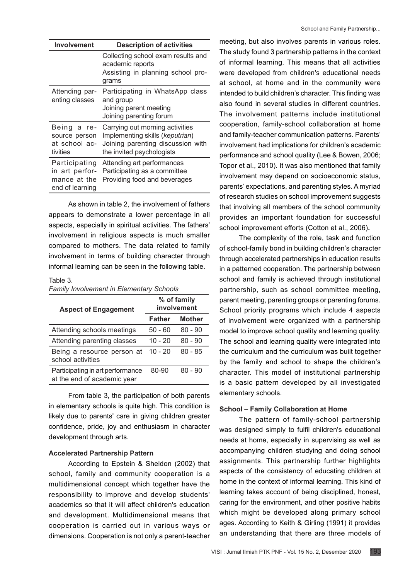| <b>Involvement</b>                                                 | <b>Description of activities</b>                                                                                                     |  |
|--------------------------------------------------------------------|--------------------------------------------------------------------------------------------------------------------------------------|--|
|                                                                    | Collecting school exam results and<br>academic reports<br>Assisting in planning school pro-<br>grams                                 |  |
| Attending par-<br>enting classes                                   | Participating in WhatsApp class<br>and group<br>Joining parent meeting<br>Joining parenting forum                                    |  |
| Being a re-<br>source person<br>at school ac-<br>tivities          | Carrying out morning activities<br>Implementing skills (keputrian)<br>Joining parenting discussion with<br>the invited psychologists |  |
| Participating<br>in art perfor-<br>mance at the<br>end of learning | Attending art performances<br>Participating as a committee<br>Providing food and beverages                                           |  |

As shown in table 2, the involvement of fathers appears to demonstrate a lower percentage in all aspects, especially in spiritual activities. The fathers' involvement in religious aspects is much smaller compared to mothers. The data related to family involvement in terms of building character through informal learning can be seen in the following table.

#### Table 3.

*Family Involvement in Elementary Schools*

| <b>Aspect of Engagement</b>                                     | % of family<br>involvement |               |
|-----------------------------------------------------------------|----------------------------|---------------|
|                                                                 | <b>Father</b>              | <b>Mother</b> |
| Attending schools meetings                                      | 50 - 60                    | $80 - 90$     |
| Attending parenting classes                                     | $10 - 20$                  | $80 - 90$     |
| Being a resource person at<br>school activities                 | $10 - 20$                  | $80 - 85$     |
| Participating in art performance<br>at the end of academic year | 80-90                      | $80 - 90$     |

From table 3, the participation of both parents in elementary schools is quite high. This condition is likely due to parents' care in giving children greater confidence, pride, joy and enthusiasm in character development through arts.

#### **Accelerated Partnership Pattern**

According to Epstein & Sheldon (2002) that school, family and community cooperation is a multidimensional concept which together have the responsibility to improve and develop students' academics so that it will affect children's education and development. Multidimensional means that cooperation is carried out in various ways or dimensions. Cooperation is not only a parent-teacher

meeting, but also involves parents in various roles. The study found 3 partnership patterns in the context of informal learning. This means that all activities were developed from children's educational needs at school, at home and in the community were intended to build children's character. This finding was also found in several studies in different countries. The involvement patterns include institutional cooperation, family-school collaboration at home and family-teacher communication patterns. Parents' involvement had implications for children's academic performance and school quality (Lee & Bowen, 2006; Topor et al., 2010). It was also mentioned that family involvement may depend on socioeconomic status, parents' expectations, and parenting styles. A myriad of research studies on school improvement suggests that involving all members of the school community provides an important foundation for successful school improvement efforts (Cotton et al., 2006)**.**

The complexity of the role, task and function of school-family bond in building children's character through accelerated partnerships in education results in a patterned cooperation. The partnership between school and family is achieved through institutional partnership, such as school committee meeting, parent meeting, parenting groups or parenting forums. School priority programs which include 4 aspects of involvement were organized with a partnership model to improve school quality and learning quality. The school and learning quality were integrated into the curriculum and the curriculum was built together by the family and school to shape the children's character. This model of institutional partnership is a basic pattern developed by all investigated elementary schools.

#### **School – Family Collaboration at Home**

The pattern of family-school partnership was designed simply to fulfil children's educational needs at home, especially in supervising as well as accompanying children studying and doing school assignments. This partnership further highlights aspects of the consistency of educating children at home in the context of informal learning. This kind of learning takes account of being disciplined, honest, caring for the environment, and other positive habits which might be developed along primary school ages. According to Keith & Girling (1991) it provides an understanding that there are three models of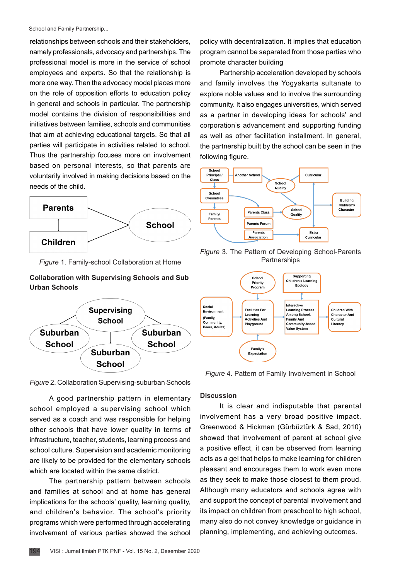School and Family Partnership...

relationships between schools and their stakeholders, namely professionals, advocacy and partnerships. The professional model is more in the service of school employees and experts. So that the relationship is more one way. Then the advocacy model places more on the role of opposition efforts to education policy in general and schools in particular. The partnership model contains the division of responsibilities and initiatives between families, schools and communities that aim at achieving educational targets. So that all parties will participate in activities related to school. Thus the partnership focuses more on involvement based on personal interests, so that parents are voluntarily involved in making decisions based on the needs of the child.



*Figure* 1. Family-school Collaboration at Home

## **Collaboration with Supervising Schools and Sub Urban Schools**



*Figure* 2. Collaboration Supervising-suburban Schools

A good partnership pattern in elementary school employed a supervising school which served as a coach and was responsible for helping other schools that have lower quality in terms of infrastructure, teacher, students, learning process and school culture. Supervision and academic monitoring are likely to be provided for the elementary schools which are located within the same district.

The partnership pattern between schools and families at school and at home has general implications for the schools' quality, learning quality, and children's behavior. The school's priority programs which were performed through accelerating involvement of various parties showed the school

policy with decentralization. It implies that education program cannot be separated from those parties who promote character building

Partnership acceleration developed by schools and family involves the Yogyakarta sultanate to explore noble values and to involve the surrounding community. It also engages universities, which served as a partner in developing ideas for schools' and corporation's advancement and supporting funding as well as other facilitation installment. In general, the partnership built by the school can be seen in the following figure.



*Figure* 3. The Pattern of Developing School-Parents **Partnerships** 



*Figure* 4. Pattern of Family Involvement in School

### **Discussion**

It is clear and indisputable that parental involvement has a very broad positive impact. Greenwood & Hickman (Gürbüztürk & Sad, 2010) showed that involvement of parent at school give a positive effect, it can be observed from learning acts as a gel that helps to make learning for children pleasant and encourages them to work even more as they seek to make those closest to them proud. Although many educators and schools agree with and support the concept of parental involvement and its impact on children from preschool to high school, many also do not convey knowledge or guidance in planning, implementing, and achieving outcomes.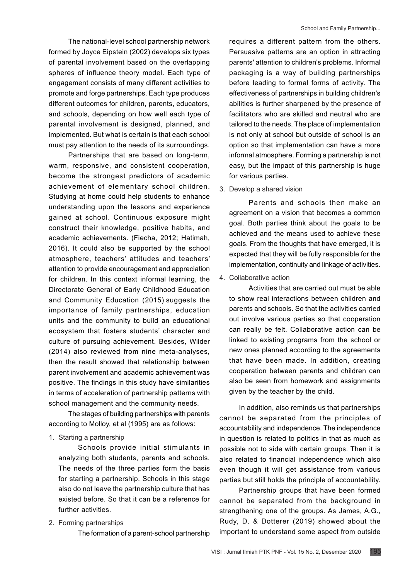The national-level school partnership network formed by Joyce Eipstein (2002) develops six types of parental involvement based on the overlapping spheres of influence theory model. Each type of engagement consists of many different activities to promote and forge partnerships. Each type produces different outcomes for children, parents, educators, and schools, depending on how well each type of parental involvement is designed, planned, and implemented. But what is certain is that each school must pay attention to the needs of its surroundings.

Partnerships that are based on long-term, warm, responsive, and consistent cooperation, become the strongest predictors of academic achievement of elementary school children. Studying at home could help students to enhance understanding upon the lessons and experience gained at school. Continuous exposure might construct their knowledge, positive habits, and academic achievements. (Fiecha, 2012; Hatimah, 2016). It could also be supported by the school atmosphere, teachers' attitudes and teachers' attention to provide encouragement and appreciation for children. In this context informal learning, the Directorate General of Early Childhood Education and Community Education (2015) suggests the importance of family partnerships, education units and the community to build an educational ecosystem that fosters students' character and culture of pursuing achievement. Besides, Wilder (2014) also reviewed from nine meta-analyses, then the result showed that relationship between parent involvement and academic achievement was positive. The findings in this study have similarities in terms of acceleration of partnership patterns with school management and the community needs.

The stages of building partnerships with parents according to Molloy, et al (1995) are as follows:

1. Starting a partnership

Schools provide initial stimulants in analyzing both students, parents and schools. The needs of the three parties form the basis for starting a partnership. Schools in this stage also do not leave the partnership culture that has existed before. So that it can be a reference for further activities.

2. Forming partnerships

The formation of a parent-school partnership

requires a different pattern from the others. Persuasive patterns are an option in attracting parents' attention to children's problems. Informal packaging is a way of building partnerships before leading to formal forms of activity. The effectiveness of partnerships in building children's abilities is further sharpened by the presence of facilitators who are skilled and neutral who are tailored to the needs. The place of implementation is not only at school but outside of school is an option so that implementation can have a more informal atmosphere. Forming a partnership is not easy, but the impact of this partnership is huge for various parties.

#### 3. Develop a shared vision

Parents and schools then make an agreement on a vision that becomes a common goal. Both parties think about the goals to be achieved and the means used to achieve these goals. From the thoughts that have emerged, it is expected that they will be fully responsible for the implementation, continuity and linkage of activities.

4. Collaborative action

Activities that are carried out must be able to show real interactions between children and parents and schools. So that the activities carried out involve various parties so that cooperation can really be felt. Collaborative action can be linked to existing programs from the school or new ones planned according to the agreements that have been made. In addition, creating cooperation between parents and children can also be seen from homework and assignments given by the teacher by the child.

In addition, also reminds us that partnerships cannot be separated from the principles of accountability and independence. The independence in question is related to politics in that as much as possible not to side with certain groups. Then it is also related to financial independence which also even though it will get assistance from various parties but still holds the principle of accountability.

Partnership groups that have been formed cannot be separated from the background in strengthening one of the groups. As James, A.G., Rudy, D. & Dotterer (2019) showed about the important to understand some aspect from outside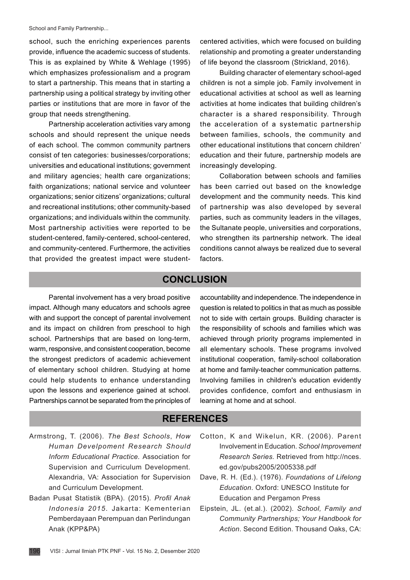#### School and Family Partnership...

school, such the enriching experiences parents provide, influence the academic success of students. This is as explained by White & Wehlage (1995) which emphasizes professionalism and a program to start a partnership. This means that in starting a partnership using a political strategy by inviting other parties or institutions that are more in favor of the group that needs strengthening.

Partnership acceleration activities vary among schools and should represent the unique needs of each school. The common community partners consist of ten categories: businesses/corporations; universities and educational institutions; government and military agencies; health care organizations; faith organizations; national service and volunteer organizations; senior citizens' organizations; cultural and recreational institutions; other community-based organizations; and individuals within the community. Most partnership activities were reported to be student-centered, family-centered, school-centered, and community-centered. Furthermore, the activities that provided the greatest impact were studentcentered activities, which were focused on building relationship and promoting a greater understanding of life beyond the classroom (Strickland, 2016).

Building character of elementary school-aged children is not a simple job. Family involvement in educational activities at school as well as learning activities at home indicates that building children's character is a shared responsibility. Through the acceleration of a systematic partnership between families, schools, the community and other educational institutions that concern children' education and their future, partnership models are increasingly developing.

Collaboration between schools and families has been carried out based on the knowledge development and the community needs. This kind of partnership was also developed by several parties, such as community leaders in the villages, the Sultanate people, universities and corporations, who strengthen its partnership network. The ideal conditions cannot always be realized due to several factors.

### **CONCLUSION**

Parental involvement has a very broad positive impact. Although many educators and schools agree with and support the concept of parental involvement and its impact on children from preschool to high school. Partnerships that are based on long-term, warm, responsive, and consistent cooperation, become the strongest predictors of academic achievement of elementary school children. Studying at home could help students to enhance understanding upon the lessons and experience gained at school. Partnerships cannot be separated from the principles of accountability and independence. The independence in question is related to politics in that as much as possible not to side with certain groups. Building character is the responsibility of schools and families which was achieved through priority programs implemented in all elementary schools. These programs involved institutional cooperation, family-school collaboration at home and family-teacher communication patterns. Involving families in children's education evidently provides confidence, comfort and enthusiasm in learning at home and at school.

## **REFERENCES**

- Armstrong, T. (2006). *The Best Schools*, *How Human Develpoment Research Should Inform Educational Practice.* Association for Supervision and Curriculum Development. Alexandria, VA: Association for Supervision and Curriculum Development.
- Badan Pusat Statistik (BPA). (2015). *Profil Anak Indonesia 2015*. Jakarta: Kementerian Pemberdayaan Perempuan dan Perlindungan Anak (KPP&PA)
- Cotton, K and Wikelun, KR. (2006). Parent Involvement in Education. *School Improvement Research Series.* Retrieved from [http://nces.](http://nces.ed.gov/pubs2005/2005338.pdf) [ed.gov/pubs2005/2005338.pdf](http://nces.ed.gov/pubs2005/2005338.pdf)
- Dave, R. H. (Ed.). (1976). *Foundations of Lifelong Education*. Oxford: UNESCO Institute for Education and Pergamon Press
- Eipstein, JL. (et.al.). (2002). *School, Family and Community Partnerships; Your Handbook for Action*. Second Edition. Thousand Oaks, CA: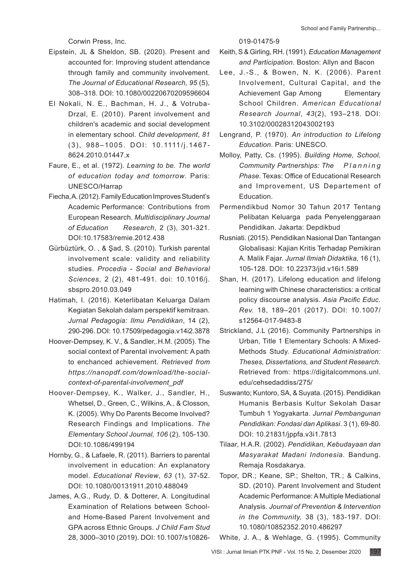Corwin Press, Inc.

- Eipstein, JL & Sheldon, SB. (2020). Present and accounted for: Improving student attendance through family and community involvement. *The Journal of Educational Research, 95* (5), 308–318. DOI: [10.1080/00220670209596604](https://psycnet.apa.org/doi/10.1080/00220670209596604)
- El Nokali, N. E., Bachman, H. J., & Votruba-Drzal, E. (2010). Parent involvement and children's academic and social development in elementary school. *Child development*, *81*  (3), 988–1005. DOI: 10.1111/j.1467- 8624.2010.01447.x
- Faure, E., et al. (1972). *Learning to be. The world of education today and tomorrow*. Paris: UNESCO/Harrap
- Fiecha, A. (2012). Family Education Improves Student's Academic Performance: Contributions from European Research*. Multidisciplinary Journal of Education Research*, 2 (3), 301-321. DOI:10.17583/remie.2012.438
- Gürbüztürk, O. , & Şad, S. (2010). Turkish parental involvement scale: validity and reliability studies. *Procedia - Social and Behavioral Sciences*, 2 (2), 481-491. doi: 10.1016/j. sbspro.2010.03.049
- Hatimah, I. (2016). Keterlibatan Keluarga Dalam Kegiatan Sekolah dalam perspektif kemitraan. *Jurnal Pedagogia: Ilmu Pendidikan*, 14 (2), 290-296. DOI: [10.17509/pedagogia.v14i2.3878](https://doi.org/10.17509/pedagogia.v14i2.3878)
- Hoover-Dempsey, K. V., & Sandler,.H.M. (2005). The social context of Parental involvement: A path to enchanced achievement. *Retrieved from https://nanopdf.com/download/the-socialcontext-of-parental-involvement\_pdf*
- Hoover‐Dempsey, K., Walker, J., Sandler, H., Whetsel, D., Green, C., Wilkins, A., & Closson, K. (2005). Why Do Parents Become Involved? Research Findings and Implications. *The Elementary School Journal, 106* (2), 105-130. DOI:10.1086/499194
- Hornby, G., & Lafaele, R. (2011). Barriers to parental involvement in education: An explanatory model. *Educational Review*, *63* (1), 37-52. DOI: [10.1080/00131911.2010.488049](https://www.researchgate.net/deref/http%3A%2F%2Fdx.doi.org%2F10.1080%2F00131911.2010.488049)
- James, A.G., Rudy, D. & Dotterer, A. Longitudinal Examination of Relations between Schooland Home-Based Parent Involvement and GPA across Ethnic Groups. *J Child Fam Stud* 28, 3000–3010 (2019). DOI: 10.1007/s10826-

019-01475-9

- Keith, S & Girling, RH. (1991). *Education Management and Participation*. Boston: Allyn and Bacon
- Lee, J.-S., & Bowen, N. K. (2006). Parent Involvement, Cultural Capital, and the Achievement Gap Among Elementary School Children. *American Educational Research Journal*, *43*(2), 193–218. [DOI:](https://doi.org/10.3102/00028312043002193)  [10.3102/00028312043002193](https://doi.org/10.3102/00028312043002193)
- Lengrand, P. (1970). *An introduction to Lifelong Education*. Paris: UNESCO.
- Molloy, Patty, Cs. (1995). *Building Home, School, Community Partnerships: The P l a n n i n g Phase*. Texas: Office of Educational Research and Improvement, US Departement of Education.
- Permendikbud Nomor 30 Tahun 2017 Tentang Pelibatan Keluarga pada Penyelenggaraan Pendidikan. Jakarta: Depdikbud
- Rusniati. (2015). Pendidikan Nasional Dan Tantangan Globalisasi: Kajian Kritis Terhadap Pemikiran A. Malik Fajar. *Jurnal Ilmiah Didaktika,* 16 (1), 105-128. DOI: [10.22373/jid.v16i1.589](https://dx.doi.org/10.22373/jid.v16i1.589)
- Shan, H. (2017). Lifelong education and lifelong learning with Chinese characteristics: a critical policy discourse analysis. *Asia Pacific Educ. Rev.* 18, 189–201 (2017). DOI: 10.1007/ s12564-017-9483-8
- Strickland, J.L (2016). Community Partnerships in Urban, Title 1 Elementary Schools: A Mixed-Methods Study. *Educational Administration: Theses, Dissertations, and Student Research*. Retrieved from: https://digitalcommons.unl. edu/cehsedaddiss/275/
- Suswanto; Kuntoro, SA, & Suyata. (2015). Pendidikan Humanis Berbasis Kultur Sekolah Dasar Tumbuh 1 Yogyakart*a*. *Jurnal Pembangunan Pendidikan: Fondasi dan Aplikasi*. 3 (1), 69-80. DOI: [10.21831/jppfa.v3i1.7813](https://doi.org/10.21831/jppfa.v3i1.7813)
- Tilaar, H.A.R. (2002). *Pendidikan, Kebudayaan dan Masyarakat Madani Indonesia.* Bandung. Remaja Rosdakarya.
- Topor, DR.; Keane, SP.; Shelton, TR.; & Calkins, SD. (2010). Parent Involvement and Student Academic Performance: A Multiple Mediational Analysis. *Journal of Prevention & Intervention in the Community,* 38 (3), 183-197. DOI: [10.1080/10852352.2010.486297](https://doi.org/10.1080/10852352.2010.486297)

White, J. A., & Wehlage, G. (1995). Community